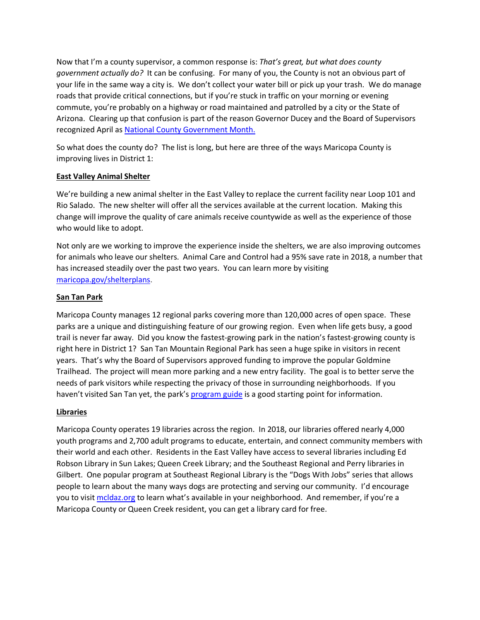Now that I'm a county supervisor, a common response is: *That's great, but what does county government actually do?* It can be confusing. For many of you, the County is not an obvious part of your life in the same way a city is. We don't collect your water bill or pick up your trash. We do manage roads that provide critical connections, but if you're stuck in traffic on your morning or evening commute, you're probably on a highway or road maintained and patrolled by a city or the State of Arizona. Clearing up that confusion is part of the reason Governor Ducey and the Board of Supervisors recognized April as National County Government Month.

So what does the county do? The list is long, but here are three of the ways Maricopa County is improving lives in District 1:

## **East Valley Animal Shelter**

We're building a new animal shelter in the East Valley to replace the current facility near Loop 101 and Rio Salado. The new shelter will offer all the services available at the current location. Making this change will improve the quality of care animals receive countywide as well as the experience of those who would like to adopt.

Not only are we working to improve the experience inside the shelters, we are also improving outcomes for animals who leave our shelters. Animal Care and Control had a 95% save rate in 2018, a number that has increased steadily over the past two years. You can learn more by visiting maricopa.gov/shelterplans.

## **San Tan Park**

Maricopa County manages 12 regional parks covering more than 120,000 acres of open space. These parks are a unique and distinguishing feature of our growing region. Even when life gets busy, a good trail is never far away. Did you know the fastest-growing park in the nation's fastest-growing county is right here in District 1? San Tan Mountain Regional Park has seen a huge spike in visitors in recent years. That's why the Board of Supervisors approved funding to improve the popular Goldmine Trailhead. The project will mean more parking and a new entry facility. The goal is to better serve the needs of park visitors while respecting the privacy of those in surrounding neighborhoods. If you haven't visited San Tan yet, the park's program guide is a good starting point for information.

## **Libraries**

Maricopa County operates 19 libraries across the region. In 2018, our libraries offered nearly 4,000 youth programs and 2,700 adult programs to educate, entertain, and connect community members with their world and each other. Residents in the East Valley have access to several libraries including Ed Robson Library in Sun Lakes; Queen Creek Library; and the Southeast Regional and Perry libraries in Gilbert. One popular program at Southeast Regional Library is the "Dogs With Jobs" series that allows people to learn about the many ways dogs are protecting and serving our community. I'd encourage you to visit mcldaz.org to learn what's available in your neighborhood. And remember, if you're a Maricopa County or Queen Creek resident, you can get a library card for free.